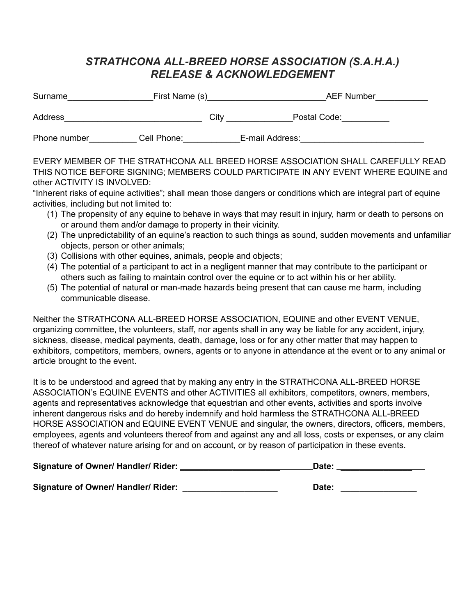## *STRATHCONA ALL-BREED HORSE ASSOCIATION (S.A.H.A.) RELEASE & ACKNOWLEDGEMENT*

| Surname      | First Name (s) |      | <b>AEF Number</b> |  |  |
|--------------|----------------|------|-------------------|--|--|
| Address      |                | City | Postal Code:      |  |  |
| Phone number | Cell Phone:    |      | E-mail Address:   |  |  |

EVERY MEMBER OF THE STRATHCONA ALL BREED HORSE ASSOCIATION SHALL CAREFULLY READ THIS NOTICE BEFORE SIGNING; MEMBERS COULD PARTICIPATE IN ANY EVENT WHERE EQUINE and other ACTIVITY IS INVOLVED:

"Inherent risks of equine activities"; shall mean those dangers or conditions which are integral part of equine activities, including but not limited to:

- (1) The propensity of any equine to behave in ways that may result in injury, harm or death to persons on or around them and/or damage to property in their vicinity.
- (2) The unpredictability of an equine's reaction to such things as sound, sudden movements and unfamiliar objects, person or other animals;
- (3) Collisions with other equines, animals, people and objects;
- (4) The potential of a participant to act in a negligent manner that may contribute to the participant or others such as failing to maintain control over the equine or to act within his or her ability.
- (5) The potential of natural or man-made hazards being present that can cause me harm, including communicable disease.

Neither the STRATHCONA ALL-BREED HORSE ASSOCIATION, EQUINE and other EVENT VENUE, organizing committee, the volunteers, staff, nor agents shall in any way be liable for any accident, injury, sickness, disease, medical payments, death, damage, loss or for any other matter that may happen to exhibitors, competitors, members, owners, agents or to anyone in attendance at the event or to any animal or article brought to the event.

It is to be understood and agreed that by making any entry in the STRATHCONA ALL-BREED HORSE ASSOCIATION's EQUINE EVENTS and other ACTIVITIES all exhibitors, competitors, owners, members, agents and representatives acknowledge that equestrian and other events, activities and sports involve inherent dangerous risks and do hereby indemnify and hold harmless the STRATHCONA ALL-BREED HORSE ASSOCIATION and EQUINE EVENT VENUE and singular, the owners, directors, officers, members, employees, agents and volunteers thereof from and against any and all loss, costs or expenses, or any claim thereof of whatever nature arising for and on account, or by reason of participation in these events.

| Signature of Owner/ Handler/ Rider: | Date: |  |
|-------------------------------------|-------|--|
|                                     |       |  |

| <b>Signature of Owner/ Handler/ Rider:</b> | Date: |
|--------------------------------------------|-------|
|                                            |       |